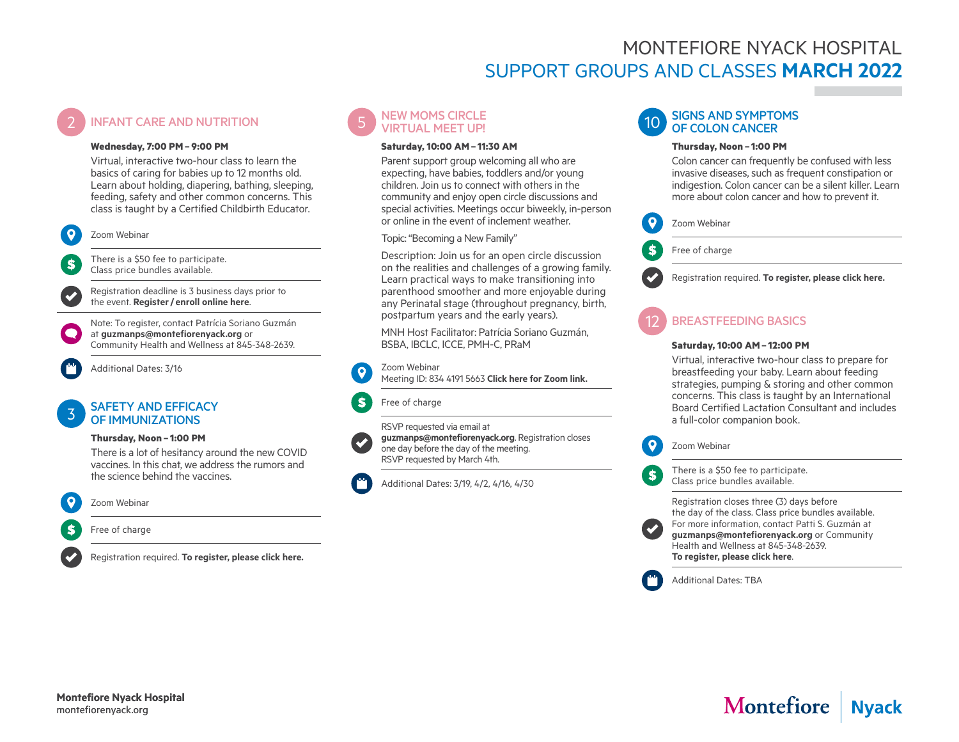## MONTEFIORE NYACK HOSPITAL SUPPORT GROUPS AND CLASSES **MARCH 2022**

### **INFANT CARE AND NUTRITION**

#### **Wednesday, 7:00 PM– 9:00 PM**

Virtual, interactive two-hour class to learn the basics of caring for babies up to 12 months old. Learn about holding, diapering, bathing, sleeping, feeding, safety and other common concerns. This class is taught by a Certified Childbirth Educator.



\$

There is a \$50 fee to participate. Class price bundles available.

Registration deadline is 3 business days prior to the event. **Register/ [enroll online here](https://us06web.zoom.us/webinar/register/WN_bJ-JS5hZQj2gFK7XJzrqVg)**.

Note: To register, contact Patrícia Soriano Guzmán at **[guzmanps@montefiorenyack.org](mailto:guzmanps%40montefiorenyack.org?subject=Infant%20CPR)** or Community Health and Wellness at 845-348-2639.



#### SAFETY AND EFFICACY OF IMMUNIZATIONS

#### **Thursday, Noon – 1:00 PM**

There is a lot of hesitancy around the new COVID vaccines. In this chat, we address the rumors and the science behind the vaccines.



#### Zoom Webinar

Free of charge

Registration required. **[To register, please click here.](https://us06web.zoom.us/webinar/register/WN_mt9Pr7d3Q4OalcAyQfwudQ)**



#### **Saturday, 10:00 AM– 11:30 AM**

Parent support group welcoming all who are expecting, have babies, toddlers and/or young children. Join us to connect with others in the community and enjoy open circle discussions and special activities. Meetings occur biweekly, in-person or online in the event of inclement weather.

Topic: "Becoming a New Family"

Description: Join us for an open circle discussion on the realities and challenges of a growing family. Learn practical ways to make transitioning into parenthood smoother and more enjoyable during any Perinatal stage (throughout pregnancy, birth, postpartum years and the early years).

MNH Host Facilitator: Patrícia Soriano Guzmán, BSBA, IBCLC, ICCE, PMH-C, PRaM



#### Zoom Webinar Meeting ID: 834 4191 5663 **[Click here for Zoom link](https://us06web.zoom.us/j/83441915663).**



Free of charge



RSVP requested via email at **[guzmanps@montefiorenyack.org](mailto:guzmanps%40montefiorenyack.org?subject=)**. Registration closes one day before the day of the meeting. RSVP requested by March 4th.

Additional Dates: 3/19, 4/2, 4/16, 4/30

#### **SIGNS AND SYMPTOMS** OF COLON CANCER

#### **Thursday, Noon – 1:00 PM**

Colon cancer can frequently be confused with less invasive diseases, such as frequent constipation or indigestion. Colon cancer can be a silent killer. Learn more about colon cancer and how to prevent it.



Free of charge

Registration required. **[To register, please click here.](https://us06web.zoom.us/webinar/register/WN_R2Q9dBIjQK6Nhj4m2a8ylA)**

#### 12 BREASTFEEDING BASICS

#### **Saturday, 10:00 AM– 12:00 PM**

Virtual, interactive two-hour class to prepare for breastfeeding your baby. Learn about feeding strategies, pumping & storing and other common concerns. This class is taught by an International Board Certified Lactation Consultant and includes a full-color companion book.



There is a \$50 fee to participate. Class price bundles available.

Registration closes three (3) days before the day of the class. Class price bundles available. For more information, contact Patti S. Guzmán at **[guzmanps@montefiorenyack.org](mailto:guzmanps%40montefiorenyack.org?subject=)** or Community Health and Wellness at 845-348-2639. **[To register, please click here](https://us06web.zoom.us/webinar/register/WN_ZL2snSiWTJaoBXwM0NT69g)**.



 $\mathbf{s}$ 

Additional Dates: TBA



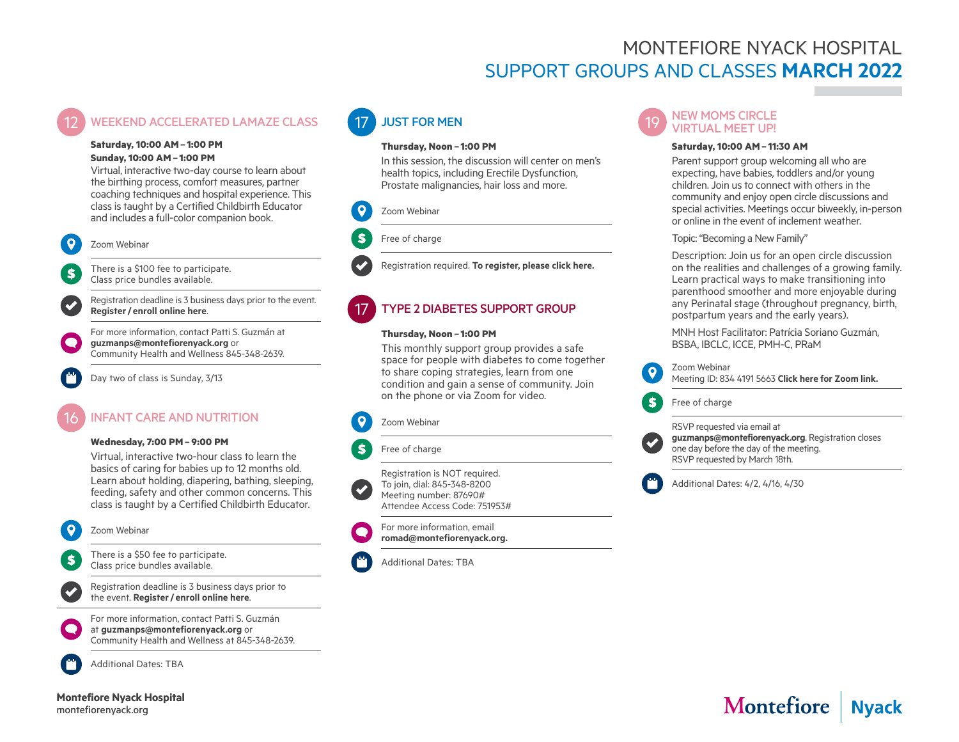## MONTEFIORE NYACK HOSPITAL SUPPORT GROUPS AND CLASSES **MARCH 2022**

#### **WEEKEND ACCELERATED LAMAZE CLASS**

#### **Saturday, 10:00 AM– 1:00 PM Sunday, 10:00 AM– 1:00 PM**

Virtual, interactive two-day course to learn about the birthing process, comfort measures, partner coaching techniques and hospital experience. This class is taught by a Certified Childbirth Educator and includes a full-color companion book.

#### Zoom Webinar

 $\mathbf{s}$ 

There is a \$100 fee to participate. Class price bundles available.

Registration deadline is 3 business days prior to the event. **Register/ [enroll online here](https://us06web.zoom.us/webinar/register/WN_NObVWxGdR7atTTQi8PhP2w)**.

For more information, contact Patti S. Guzmán at **[guzmanps@montefiorenyack.org](mailto:guzmanps%40montefiorenyack.org?subject=New%20Moms%20Circle%20%22Nyack%20Basics%22)** or Community Health and Wellness 845-348-2639.

Day two of class is Sunday, 3/13

## INFANT CARF AND NUTRITION

#### **Wednesday, 7:00 PM– 9:00 PM**

Virtual, interactive two-hour class to learn the basics of caring for babies up to 12 months old. Learn about holding, diapering, bathing, sleeping, feeding, safety and other common concerns. This class is taught by a Certified Childbirth Educator.

#### Zoom Webinar

There is a \$50 fee to participate. S Class price bundles available.

Registration deadline is 3 business days prior to the event. **Register/ [enroll online here](https://us06web.zoom.us/webinar/register/WN_bJ-JS5hZQj2gFK7XJzrqVg)**.



For more information, contact Patti S. Guzmán at **[guzmanps@montefiorenyack.org](mailto:guzmanps%40montefiorenyack.org?subject=Infant%20CPR)** or Community Health and Wellness at 845-348-2639.



Additional Dates: TBA



## **JUST FOR MEN**

#### **Thursday, Noon – 1:00 PM**

In this session, the discussion will center on men's health topics, including Erectile Dysfunction, Prostate malignancies, hair loss and more.

#### Zoom Webinar



Registration required. **[To register, please click here.](https://us06web.zoom.us/webinar/register/WN_hu95hVsKRJ2MqR_l1DGqsg)**

## **TYPE 2 DIABETES SUPPORT GROUP**

#### **Thursday, Noon – 1:00 PM**

This monthly support group provides a safe space for people with diabetes to come together to share coping strategies, learn from one condition and gain a sense of community. Join on the phone or via Zoom for video.

#### Zoom Webinar

#### Free of charge

S

Registration is NOT required. To join, dial: 845-348-8200 Meeting number: 87690# Attendee Access Code: 751953#

For more information, email **[romad@montefiorenyack.org.](mailto:romad%40montefiorenyack.org?subject=Type%202%20Diabetes%20Support%20Group)**

#### Additional Dates: TBA

# 19 NEW MOMS CIRCLE<br>VIRTUAL MEET UP!

#### **Saturday, 10:00 AM– 11:30 AM**

Parent support group welcoming all who are expecting, have babies, toddlers and/or young children. Join us to connect with others in the community and enjoy open circle discussions and special activities. Meetings occur biweekly, in-person or online in the event of inclement weather.

Topic: "Becoming a New Family"

Description: Join us for an open circle discussion on the realities and challenges of a growing family. Learn practical ways to make transitioning into parenthood smoother and more enjoyable during any Perinatal stage (throughout pregnancy, birth, postpartum years and the early years).

MNH Host Facilitator: Patrícia Soriano Guzmán, BSBA, IBCLC, ICCE, PMH-C, PRaM



Zoom Webinar

Meeting ID: 834 4191 5663 **[Click here for Zoom link](https://us06web.zoom.us/j/83441915663).**

Free of charge



S.

RSVP requested via email at **[guzmanps@montefiorenyack.org](mailto:guzmanps%40montefiorenyack.org?subject=)**. Registration closes one day before the day of the meeting. RSVP requested by March 18th.

Additional Dates: 4/2, 4/16, 4/30